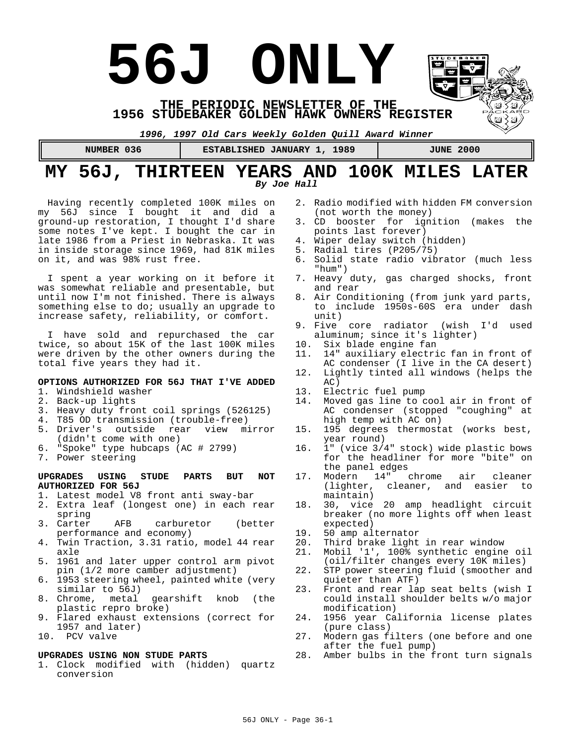# **56J ONLY**

**THE PERIODIC NEWSLETTER OF THE 1956 STUDEBAKER GOLDEN HAWK OWNERS REGISTER** 

*1996, 1997 Old Cars Weekly Golden Quill Award Winner*

**NUMBER 036 | ESTABLISHED JANUARY 1, 1989 | JUNE 2000** 

# **MY 56J, THIRTEEN YEARS AND 100K MILES LATER** *By Joe Hall*

Having recently completed 100K miles on my 56J since I bought it and did a ground-up restoration, I thought I'd share some notes I've kept. I bought the car in late 1986 from a Priest in Nebraska. It was in inside storage since 1969, had 81K miles on it, and was 98% rust free.

I spent a year working on it before it was somewhat reliable and presentable, but until now I'm not finished. There is always something else to do; usually an upgrade to increase safety, reliability, or comfort.

I have sold and repurchased the car twice, so about 15K of the last 100K miles were driven by the other owners during the total five years they had it.

# **OPTIONS AUTHORIZED FOR 56J THAT I'VE ADDED**

- 1. Windshield washer
- 2. Back-up lights
- 3. Heavy duty front coil springs (526125)
- 4. T85 OD transmission (trouble-free)
- 5. Driver's outside rear view mirror (didn't come with one)
- 6. "Spoke" type hubcaps (AC # 2799)
- 7. Power steering

### **UPGRADES USING STUDE PARTS BUT NOT AUTHORIZED FOR 56J**

- 1. Latest model V8 front anti sway-bar
- 2. Extra leaf (longest one) in each rear
- spring<br>3. Carter AFB carburetor (better performance and economy)
- 4. Twin Traction, 3.31 ratio, model 44 rear axle
- 5. 1961 and later upper control arm pivot pin (1/2 more camber adjustment)
- 6. 1953 steering wheel, painted white (very similar to 56J)
- 8. Chrome, metal gearshift knob (the plastic repro broke)
- 9. Flared exhaust extensions (correct for 1957 and later)
- 10. PCV valve

### **UPGRADES USING NON STUDE PARTS**

1. Clock modified with (hidden) quartz conversion

- 2. Radio modified with hidden FM conversion (not worth the money)
- 3. CD booster for ignition (makes the points last forever)
- 4. Wiper delay switch (hidden)
- 5. Radial tires (P205/75)
- 6. Solid state radio vibrator (much less "hum")
- 7. Heavy duty, gas charged shocks, front and rear
- 8. Air Conditioning (from junk yard parts, to include 1950s-60S era under dash unit)
- 9. Five core radiator (wish I'd used aluminum; since it's lighter)
- 10. Six blade engine fan
- 11. 14" auxiliary electric fan in front of AC condenser (I live in the CA desert)
- 12. Lightly tinted all windows (helps the AC)
- 13. Electric fuel pump<br>14. Moved gas line to c
- Moved gas line to cool air in front of AC condenser (stopped "coughing" at high temp with AC on)
- 15. 195 degrees thermostat (works best, year round)
- 16. 1" (vice 3/4" stock) wide plastic bows for the headliner for more "bite" on the panel edges<br>Modern 14" chrome
- 17. Modern 14" chrome air cleaner cleaner, and easier to maintain)
- 18. 30, vice 20 amp headlight circuit breaker (no more lights off when least expected)
- 19. 50 amp alternator<br>20. Third brake light
- 20. Third brake light in rear window<br>21 Mobil '1', 100% synthetic engine
- Mobil '1', 100% synthetic engine oil (oil/filter changes every 10K miles)
- 22. STP power steering fluid (smoother and quieter than ATF)
- 23. Front and rear lap seat belts (wish I could install shoulder belts w/o major modification)
- 24. 1956 year California license plates (pure class)
- 27. Modern gas filters (one before and one after the fuel pump)
- 28. Amber bulbs in the front turn signals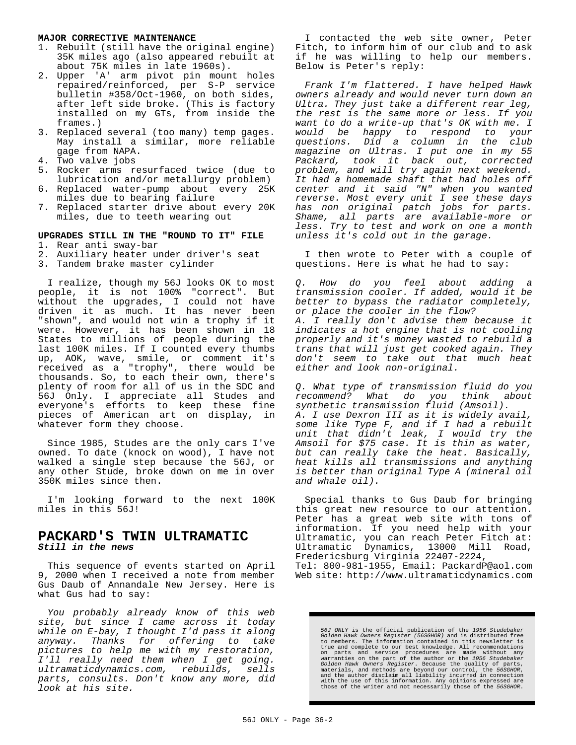### **MAJOR CORRECTIVE MAINTENANCE**

- 1. Rebuilt (still have the original engine) 35K miles ago (also appeared rebuilt at about 75K miles in late 1960s).
- 2. Upper 'A' arm pivot pin mount holes repaired/reinforced, per S-P service bulletin #358/Oct-1960, on both sides, after left side broke. (This is factory installed on my GTs, from inside the frames.)
- 3. Replaced several (too many) temp gages. May install a similar, more reliable gage from NAPA.
- 4. Two valve jobs
- 5. Rocker arms resurfaced twice (due to lubrication and/or metallurgy problem)
- 6. Replaced water-pump about every 25K miles due to bearing failure
- 7. Replaced starter drive about every 20K miles, due to teeth wearing out

# **UPGRADES STILL IN THE "ROUND TO IT" FILE**

- 1. Rear anti sway-bar
- 2. Auxiliary heater under driver's seat
- 3. Tandem brake master cylinder

I realize, though my 56J looks OK to most people, it is not 100% "correct". But without the upgrades, I could not have driven it as much. It has never been "shown", and would not win a trophy if it were. However, it has been shown in 18 States to millions of people during the last 100K miles. If I counted every thumbs up, AOK, wave, smile, or comment it's received as a "trophy", there would be thousands. So, to each their own, there's plenty of room for all of us in the SDC and 56J Only. I appreciate all Studes and everyone's efforts to keep these fine pieces of American art on display, in whatever form they choose.

Since 1985, Studes are the only cars I've owned. To date (knock on wood), I have not walked a single step because the 56J, or any other Stude, broke down on me in over 350K miles since then.

I'm looking forward to the next 100K miles in this 56J!

# **PACKARD'S TWIN ULTRAMATIC** *Still in the news*

This sequence of events started on April 9, 2000 when I received a note from member Gus Daub of Annandale New Jersey. Here is what Gus had to say:

*You probably already know of this web site, but since I came across it today while on E-bay, I thought I'd pass it along* anyway. Thanks for offering to *pictures to help me with my restoration, I'll really need them when I get going. ultramaticdynamics.com, rebuilds, sells parts, consults. Don't know any more, did look at his site.*

I contacted the web site owner, Peter Fitch, to inform him of our club and to ask if he was willing to help our members. Below is Peter's reply:

*Frank I'm flattered. I have helped Hawk owners already and would never turn down an Ultra. They just take a different rear leg, the rest is the same more or less. If you want to do a write-up that's OK with me. I would be happy to respond to your questions. Did a column in the club magazine on Ultras. I put one in my 55 Packard, took it back out, corrected problem, and will try again next weekend. It had a homemade shaft that had holes off center and it said "N" when you wanted reverse. Most every unit I see these days has non original patch jobs for parts. Shame, all parts are available-more or less. Try to test and work on one a month unless it's cold out in the garage.*

I then wrote to Peter with a couple of questions. Here is what he had to say:

*Q. How do you feel about adding a transmission cooler. If added, would it be better to bypass the radiator completely, or place the cooler in the flow? A. I really don't advise them because it indicates a hot engine that is not cooling properly and it's money wasted to rebuild a trans that will just get cooked again. They don't seem to take out that much heat either and look non-original.*

*Q. What type of transmission fluid do you recommend? What do you think about synthetic transmission fluid (Amsoil). A. I use Dexron III as it is widely avail, some like Type F, and if I had a rebuilt unit that didn't leak, I would try the Amsoil for \$75 case. It is thin as water, but can really take the heat. Basically, heat kills all transmissions and anything is better than original Type A (mineral oil and whale oil).*

Special thanks to Gus Daub for bringing this great new resource to our attention. Peter has a great web site with tons of information. If you need help with your Ultramatic, you can reach Peter Fitch at: Ultramatic Dynamics, 13000 Mill Road, Fredericsburg Virginia 22407-2224, Tel: 800-981-1955, Email: PackardP@aol.com Web site: http://www.ultramaticdynamics.com

56J ONLY is the official publication of the 1956 Studebaker<br>Golden Hawk Owners Register (565GHOR) and is distributed free<br>to members. The information contained in this newsletter is<br>true and complete to our best knowledge.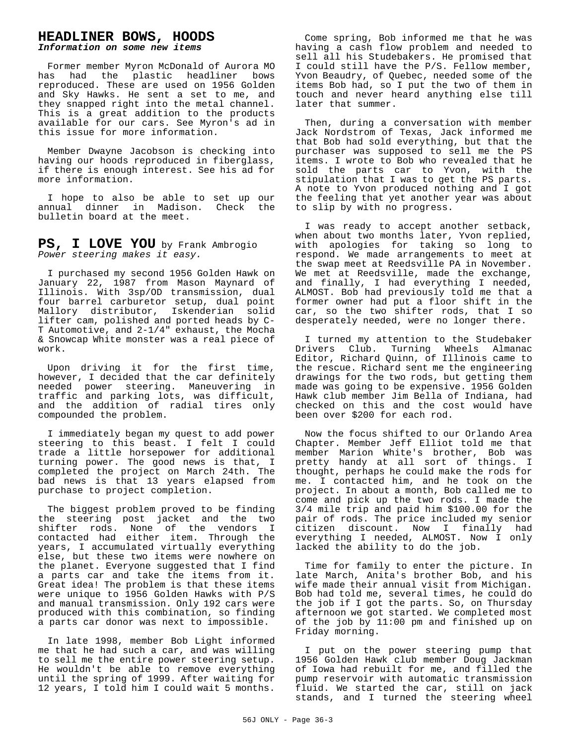# **HEADLINER BOWS, HOODS**

*Information on some new items*

Former member Myron McDonald of Aurora MO has had the plastic headliner bows reproduced. These are used on 1956 Golden and Sky Hawks. He sent a set to me, and they snapped right into the metal channel. This is a great addition to the products available for our cars. See Myron's ad in this issue for more information.

Member Dwayne Jacobson is checking into having our hoods reproduced in fiberglass, if there is enough interest. See his ad for more information.

I hope to also be able to set up our annual dinner in Madison. Check the bulletin board at the meet.

**PS, I LOVE YOU** by Frank Ambrogio *Power steering makes it easy.*

I purchased my second 1956 Golden Hawk on January 22, 1987 from Mason Maynard of Illinois. With 3sp/OD transmission, dual four barrel carburetor setup, dual point Mallory distributor, Iskenderian solid lifter cam, polished and ported heads by C-T Automotive, and 2-1/4" exhaust, the Mocha & Snowcap White monster was a real piece of work.

Upon driving it for the first time, however, I decided that the car definitely needed power steering. Maneuvering in traffic and parking lots, was difficult, and the addition of radial tires only compounded the problem.

I immediately began my quest to add power steering to this beast. I felt I could trade a little horsepower for additional turning power. The good news is that, I completed the project on March 24th. The bad news is that 13 years elapsed from purchase to project completion.

The biggest problem proved to be finding the steering post jacket and the two shifter rods. None of the vendors I contacted had either item. Through the years, I accumulated virtually everything else, but these two items were nowhere on the planet. Everyone suggested that I find a parts car and take the items from it. Great idea! The problem is that these items were unique to 1956 Golden Hawks with P/S and manual transmission. Only 192 cars were produced with this combination, so finding a parts car donor was next to impossible.

In late 1998, member Bob Light informed me that he had such a car, and was willing to sell me the entire power steering setup. He wouldn't be able to remove everything until the spring of 1999. After waiting for 12 years, I told him I could wait 5 months.

Come spring, Bob informed me that he was having a cash flow problem and needed to sell all his Studebakers. He promised that I could still have the P/S. Fellow member, Yvon Beaudry, of Quebec, needed some of the items Bob had, so I put the two of them in touch and never heard anything else till later that summer.

Then, during a conversation with member Jack Nordstrom of Texas, Jack informed me that Bob had sold everything, but that the purchaser was supposed to sell me the PS items. I wrote to Bob who revealed that he sold the parts car to Yvon, with the stipulation that I was to get the PS parts. A note to Yvon produced nothing and I got the feeling that yet another year was about to slip by with no progress.

I was ready to accept another setback, when about two months later, Yvon replied, with apologies for taking so long to respond. We made arrangements to meet at the swap meet at Reedsville PA in November. We met at Reedsville, made the exchange, and finally, I had everything I needed, ALMOST. Bob had previously told me that a former owner had put a floor shift in the car, so the two shifter rods, that I so desperately needed, were no longer there.

I turned my attention to the Studebaker Drivers Club. Turning Wheels Almanac Editor, Richard Quinn, of Illinois came to the rescue. Richard sent me the engineering drawings for the two rods, but getting them made was going to be expensive. 1956 Golden Hawk club member Jim Bella of Indiana, had checked on this and the cost would have been over \$200 for each rod.

Now the focus shifted to our Orlando Area Chapter. Member Jeff Elliot told me that member Marion White's brother, Bob was pretty handy at all sort of things. I thought, perhaps he could make the rods for me. I contacted him, and he took on the project. In about a month, Bob called me to come and pick up the two rods. I made the 3/4 mile trip and paid him \$100.00 for the pair of rods. The price included my senior citizen discount. Now I finally had everything I needed, ALMOST. Now I only lacked the ability to do the job.

Time for family to enter the picture. In late March, Anita's brother Bob, and his wife made their annual visit from Michigan. Bob had told me, several times, he could do the job if I got the parts. So, on Thursday afternoon we got started. We completed most of the job by 11:00 pm and finished up on Friday morning.

I put on the power steering pump that 1956 Golden Hawk club member Doug Jackman of Iowa had rebuilt for me, and filled the pump reservoir with automatic transmission fluid. We started the car, still on jack stands, and I turned the steering wheel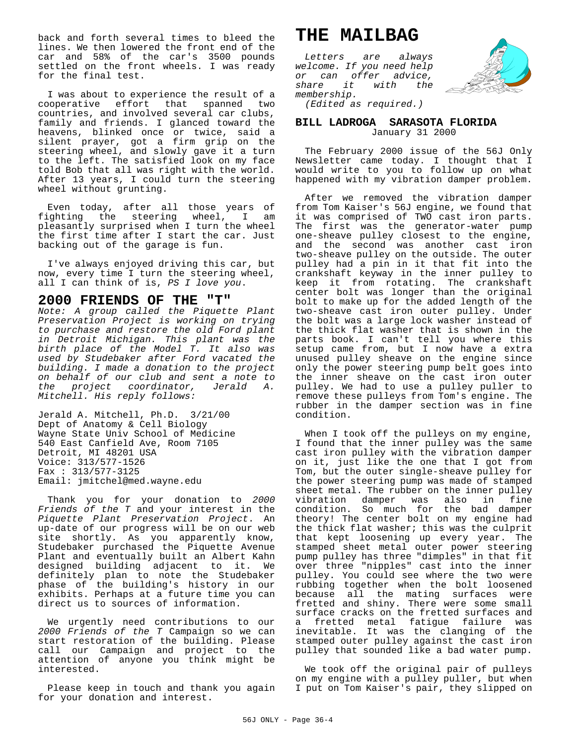back and forth several times to bleed the lines. We then lowered the front end of the car and 58% of the car's 3500 pounds settled on the front wheels. I was ready for the final test.

I was about to experience the result of a cooperative effort that spanned two countries, and involved several car clubs, family and friends. I glanced toward the heavens, blinked once or twice, said a silent prayer, got a firm grip on the steering wheel, and slowly gave it a turn to the left. The satisfied look on my face told Bob that all was right with the world. After 13 years, I could turn the steering wheel without grunting.

Even today, after all those years of fighting the steering wheel, I am pleasantly surprised when I turn the wheel the first time after I start the car. Just backing out of the garage is fun.

I've always enjoyed driving this car, but now, every time I turn the steering wheel, all I can think of is, *PS I love you*.

# **2000 FRIENDS OF THE "T"**

*Note: A group called the Piquette Plant Preservation Project is working on trying to purchase and restore the old Ford plant in Detroit Michigan. This plant was the birth place of the Model T. It also was used by Studebaker after Ford vacated the building. I made a donation to the project on behalf of our club and sent a note to the project coordinator, Jerald A. Mitchell. His reply follows:*

Jerald A. Mitchell, Ph.D. 3/21/00 Dept of Anatomy & Cell Biology Wayne State Univ School of Medicine 540 East Canfield Ave, Room 7105 Detroit, MI 48201 USA Voice: 313/577-1526 Fax : 313/577-3125 Email: jmitchel@med.wayne.edu

Thank you for your donation to *2000 Friends of the T* and your interest in the *Piquette Plant Preservation Project*. An up-date of our progress will be on our web site shortly. As you apparently know, Studebaker purchased the Piquette Avenue Plant and eventually built an Albert Kahn designed building adjacent to it. We definitely plan to note the Studebaker phase of the building's history in our exhibits. Perhaps at a future time you can direct us to sources of information.

We urgently need contributions to our *2000 Friends of the T* Campaign so we can start restoration of the building. Please call our Campaign and project to the attention of anyone you think might be interested.

Please keep in touch and thank you again for your donation and interest.

# **THE MAILBAG**

*Letters are always welcome. If you need help or can offer advice, share it with the membership.*



*(Edited as required.)*

### **BILL LADROGA SARASOTA FLORIDA** January 31 2000

The February 2000 issue of the 56J Only Newsletter came today. I thought that I would write to you to follow up on what happened with my vibration damper problem.

After we removed the vibration damper from Tom Kaiser's 56J engine, we found that it was comprised of TWO cast iron parts. The first was the generator-water pump one-sheave pulley closest to the engine, and the second was another cast iron two-sheave pulley on the outside. The outer pulley had a pin in it that fit into the crankshaft keyway in the inner pulley to keep it from rotating. The crankshaft center bolt was longer than the original bolt to make up for the added length of the two-sheave cast iron outer pulley. Under the bolt was a large lock washer instead of the thick flat washer that is shown in the parts book. I can't tell you where this setup came from, but I now have a extra unused pulley sheave on the engine since only the power steering pump belt goes into the inner sheave on the cast iron outer pulley. We had to use a pulley puller to remove these pulleys from Tom's engine. The rubber in the damper section was in fine condition.

When I took off the pulleys on my engine, I found that the inner pulley was the same cast iron pulley with the vibration damper on it, just like the one that I got from Tom, but the outer single-sheave pulley for the power steering pump was made of stamped sheet metal. The rubber on the inner pulley vibration damper was also in fine condition. So much for the bad damper theory! The center bolt on my engine had the thick flat washer; this was the culprit that kept loosening up every year. The stamped sheet metal outer power steering pump pulley has three "dimples" in that fit over three "nipples" cast into the inner pulley. You could see where the two were rubbing together when the bolt loosened because all the mating surfaces were fretted and shiny. There were some small surface cracks on the fretted surfaces and a fretted metal fatigue failure was inevitable. It was the clanging of the stamped outer pulley against the cast iron pulley that sounded like a bad water pump.

We took off the original pair of pulleys on my engine with a pulley puller, but when I put on Tom Kaiser's pair, they slipped on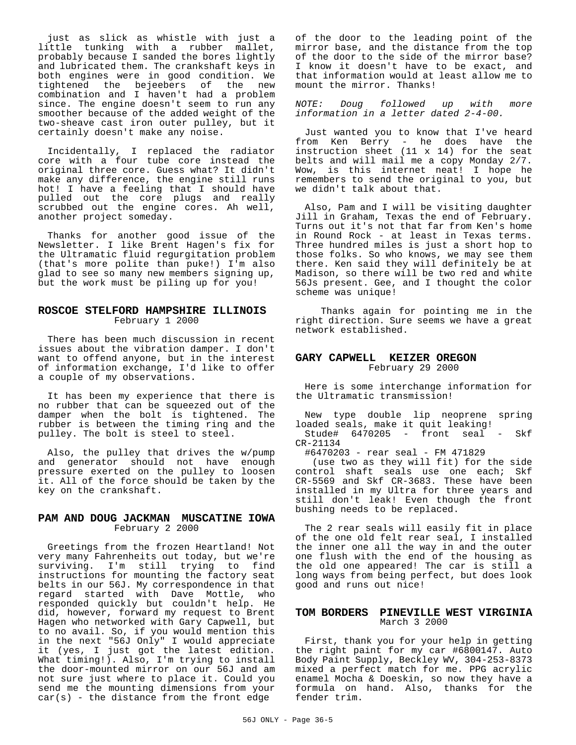just as slick as whistle with just a little tunking with a rubber mallet, probably because I sanded the bores lightly and lubricated them. The crankshaft keys in both engines were in good condition. We tightened the bejeebers of the new combination and I haven't had a problem since. The engine doesn't seem to run any smoother because of the added weight of the two-sheave cast iron outer pulley, but it certainly doesn't make any noise.

Incidentally, I replaced the radiator core with a four tube core instead the original three core. Guess what? It didn't make any difference, the engine still runs hot! I have a feeling that I should have pulled out the core plugs and really scrubbed out the engine cores. Ah well, another project someday.

Thanks for another good issue of the Newsletter. I like Brent Hagen's fix for the Ultramatic fluid regurgitation problem (that's more polite than puke!) I'm also glad to see so many new members signing up, but the work must be piling up for you!

# **ROSCOE STELFORD HAMPSHIRE ILLINOIS** February 1 2000

There has been much discussion in recent issues about the vibration damper. I don't want to offend anyone, but in the interest of information exchange, I'd like to offer a couple of my observations.

It has been my experience that there is no rubber that can be squeezed out of the damper when the bolt is tightened. The rubber is between the timing ring and the pulley. The bolt is steel to steel.

Also, the pulley that drives the w/pump and generator should not have enough pressure exerted on the pulley to loosen it. All of the force should be taken by the key on the crankshaft.

# **PAM AND DOUG JACKMAN MUSCATINE IOWA** February 2 2000

Greetings from the frozen Heartland! Not very many Fahrenheits out today, but we're<br>surviving. I'm still trying to find surviving. I'm still trying to instructions for mounting the factory seat belts in our 56J. My correspondence in that regard started with Dave Mottle, who responded quickly but couldn't help. He did, however, forward my request to Brent Hagen who networked with Gary Capwell, but to no avail. So, if you would mention this in the next "56J Only" I would appreciate it (yes, I just got the latest edition. What timing!). Also, I'm trying to install the door-mounted mirror on our 56J and am not sure just where to place it. Could you send me the mounting dimensions from your  $car(s)$  - the distance from the front edge

of the door to the leading point of the mirror base, and the distance from the top of the door to the side of the mirror base? I know it doesn't have to be exact, and that information would at least allow me to mount the mirror. Thanks!

*NOTE: Doug followed up with more information in a letter dated 2-4-00.*

Just wanted you to know that I've heard from Ken Berry - he does have the instruction sheet (11 x 14) for the seat belts and will mail me a copy Monday 2/7. Wow, is this internet neat! I hope he remembers to send the original to you, but we didn't talk about that.

Also, Pam and I will be visiting daughter Jill in Graham, Texas the end of February. Turns out it's not that far from Ken's home in Round Rock - at least in Texas terms. Three hundred miles is just a short hop to those folks. So who knows, we may see them there. Ken said they will definitely be at Madison, so there will be two red and white 56Js present. Gee, and I thought the color scheme was unique!

 Thanks again for pointing me in the right direction. Sure seems we have a great network established.

# **GARY CAPWELL KEIZER OREGON**

February 29 2000

Here is some interchange information for the Ultramatic transmission!

New type double lip neoprene spring loaded seals, make it quit leaking! Stude# 6470205 - front seal - Skf CR-21134

#6470203 - rear seal - FM 471829

 (use two as they will fit) for the side control shaft seals use one each; Skf CR-5569 and Skf CR-3683. These have been installed in my Ultra for three years and still don't leak! Even though the front bushing needs to be replaced.

The 2 rear seals will easily fit in place of the one old felt rear seal, I installed the inner one all the way in and the outer one flush with the end of the housing as the old one appeared! The car is still a long ways from being perfect, but does look good and runs out nice!

# **TOM BORDERS PINEVILLE WEST VIRGINIA** March 3 2000

First, thank you for your help in getting the right paint for my car #6800147. Auto Body Paint Supply, Beckley WV, 304-253-8373 mixed a perfect match for me. PPG acrylic enamel Mocha & Doeskin, so now they have a formula on hand. Also, thanks for the fender trim.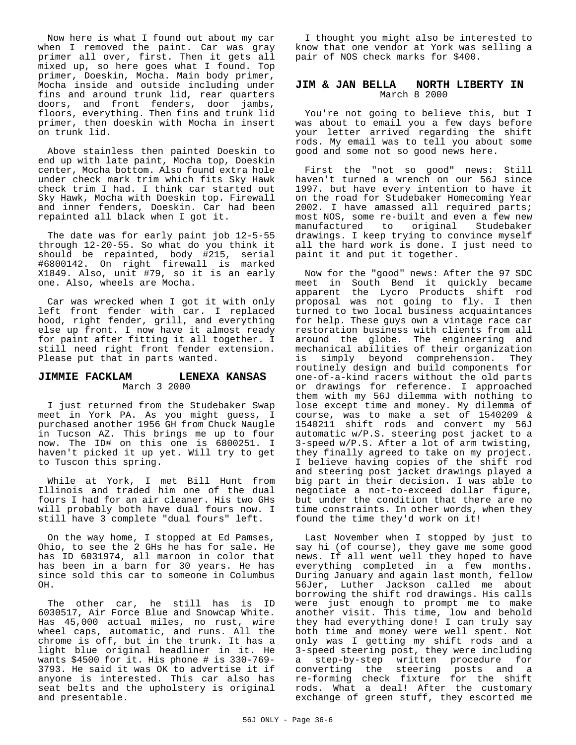Now here is what I found out about my car when I removed the paint. Car was gray primer all over, first. Then it gets all mixed up, so here goes what I found. Top primer, Doeskin, Mocha. Main body primer, Mocha inside and outside including under fins and around trunk lid, rear quarters doors, and front fenders, door jambs, floors, everything. Then fins and trunk lid primer, then doeskin with Mocha in insert on trunk lid.

Above stainless then painted Doeskin to end up with late paint, Mocha top, Doeskin center, Mocha bottom. Also found extra hole under check mark trim which fits Sky Hawk check trim I had. I think car started out Sky Hawk, Mocha with Doeskin top. Firewall and inner fenders, Doeskin. Car had been repainted all black when I got it.

The date was for early paint job 12-5-55 through 12-20-55. So what do you think it should be repainted, body #215, serial #6800142. On right firewall is marked X1849. Also, unit #79, so it is an early one. Also, wheels are Mocha.

Car was wrecked when I got it with only left front fender with car. I replaced hood, right fender, grill, and everything else up front. I now have it almost ready for paint after fitting it all together. I still need right front fender extension. Please put that in parts wanted.

### **JIMMIE FACKLAM LENEXA KANSAS** March 3 2000

I just returned from the Studebaker Swap meet in York PA. As you might guess, I purchased another 1956 GH from Chuck Naugle in Tucson AZ. This brings me up to four now. The ID# on this one is 6800251. I haven't picked it up yet. Will try to get to Tuscon this spring.

While at York, I met Bill Hunt from Illinois and traded him one of the dual fours I had for an air cleaner. His two GHs will probably both have dual fours now. I still have 3 complete "dual fours" left.

On the way home, I stopped at Ed Pamses, Ohio, to see the 2 GHs he has for sale. He has ID 6031974, all maroon in color that has been in a barn for 30 years. He has since sold this car to someone in Columbus OH.

The other car, he still has is ID 6030517, Air Force Blue and Snowcap White. Has 45,000 actual miles, no rust, wire wheel caps, automatic, and runs. All the chrome is off, but in the trunk. It has a light blue original headliner in it. He wants \$4500 for it. His phone # is 330-769- 3793. He said it was OK to advertise it if anyone is interested. This car also has seat belts and the upholstery is original and presentable.

I thought you might also be interested to know that one vendor at York was selling a pair of NOS check marks for \$400.

# **JIM & JAN BELLA NORTH LIBERTY IN** March 8 2000

You're not going to believe this, but I was about to email you a few days before your letter arrived regarding the shift rods. My email was to tell you about some good and some not so good news here.

First the "not so good" news: Still haven't turned a wrench on our 56J since 1997. but have every intention to have it on the road for Studebaker Homecoming Year 2002. I have amassed all required parts; most NOS, some re-built and even a few new manufactured to original Studebaker drawings. I keep trying to convince myself all the hard work is done. I just need to paint it and put it together.

Now for the "good" news: After the 97 SDC meet in South Bend it quickly became apparent the Lycro Products shift rod proposal was not going to fly. I then turned to two local business acquaintances for help. These guys own a vintage race car restoration business with clients from all around the globe. The engineering and mechanical abilities of their organization is simply beyond comprehension. They routinely design and build components for one-of-a-kind racers without the old parts or drawings for reference. I approached them with my 56J dilemma with nothing to lose except time and money. My dilemma of course, was to make a set of 1540209 & 1540211 shift rods and convert my 56J automatic w/P.S. steering post jacket to a 3-speed w/P.S. After a lot of arm twisting, they finally agreed to take on my project. I believe having copies of the shift rod and steering post jacket drawings played a big part in their decision. I was able to negotiate a not-to-exceed dollar figure, but under the condition that there are no time constraints. In other words, when they found the time they'd work on it!

Last November when I stopped by just to say hi (of course), they gave me some good news. If all went well they hoped to have everything completed in a few months. During January and again last month, fellow 56Jer, Luther Jackson called me about borrowing the shift rod drawings. His calls were just enough to prompt me to make another visit. This time, low and behold they had everything done! I can truly say both time and money were well spent. Not only was I getting my shift rods and a 3-speed steering post, they were including a step-by-step written procedure for converting the steering posts and a re-forming check fixture for the shift rods. What a deal! After the customary exchange of green stuff, they escorted me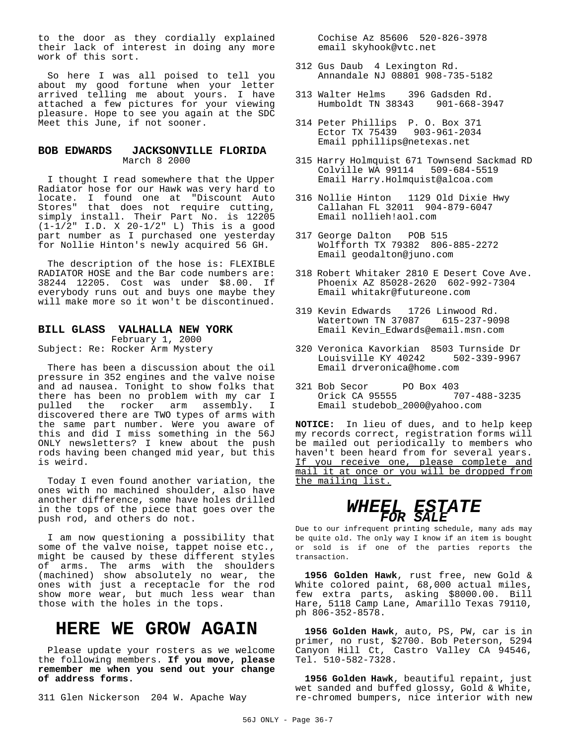to the door as they cordially explained their lack of interest in doing any more work of this sort.

So here I was all poised to tell you about my good fortune when your letter arrived telling me about yours. I have attached a few pictures for your viewing pleasure. Hope to see you again at the SDC Meet this June, if not sooner.

# **BOB EDWARDS JACKSONVILLE FLORIDA** March 8 2000

I thought I read somewhere that the Upper Radiator hose for our Hawk was very hard to locate. I found one at "Discount Auto Stores" that does not require cutting, simply install. Their Part No. is 12205 (1-1/2" I.D. X 20-1/2" L) This is a good part number as I purchased one yesterday for Nollie Hinton's newly acquired 56 GH.

The description of the hose is: FLEXIBLE RADIATOR HOSE and the Bar code numbers are: 38244 12205. Cost was under \$8.00. If everybody runs out and buys one maybe they will make more so it won't be discontinued.

# **BILL GLASS VALHALLA NEW YORK** February 1, 2000

Subject: Re: Rocker Arm Mystery

There has been a discussion about the oil pressure in 352 engines and the valve noise and ad nausea. Tonight to show folks that there has been no problem with my car I pulled the rocker arm assembly. I discovered there are TWO types of arms with the same part number. Were you aware of this and did I miss something in the 56J ONLY newsletters? I knew about the push rods having been changed mid year, but this is weird.

Today I even found another variation, the ones with no machined shoulder, also have another difference, some have holes drilled in the tops of the piece that goes over the push rod, and others do not.

I am now questioning a possibility that some of the valve noise, tappet noise etc., might be caused by these different styles of arms. The arms with the shoulders (machined) show absolutely no wear, the ones with just a receptacle for the rod show more wear, but much less wear than those with the holes in the tops.

# **HERE WE GROW AGAIN**

Please update your rosters as we welcome the following members. **If you move, please remember me when you send out your change of address forms.**

311 Glen Nickerson 204 W. Apache Way

 Cochise Az 85606 520-826-3978 email skyhook@vtc.net

- 312 Gus Daub 4 Lexington Rd. Annandale NJ 08801 908-735-5182
- 313 Walter Helms 396 Gadsden Rd. Humboldt TN 38343 901-668-3947
- 314 Peter Phillips P. O. Box 371 Ector TX 75439 903-961-2034 Email pphillips@netexas.net
- 315 Harry Holmquist 671 Townsend Sackmad RD Colville WA 99114 509-684-5519 Email Harry.Holmquist@alcoa.com
- 316 Nollie Hinton 1129 Old Dixie Hwy Callahan FL 32011 904-879-6047 Email nollieh!aol.com
- 317 George Dalton POB 515 Wolfforth TX 79382 806-885-2272 Email geodalton@juno.com
- 318 Robert Whitaker 2810 E Desert Cove Ave. Phoenix AZ 85028-2620 602-992-7304 Email whitakr@futureone.com
- 319 Kevin Edwards 1726 Linwood Rd. Watertown TN 37087 615-237-9098 Email Kevin\_Edwards@email.msn.com
- 320 Veronica Kavorkian 8503 Turnside Dr Louisville KY 40242 Email drveronica@home.com
- 321 Bob Secor PO Box 403 Orick CA 95555 707-488-3235 Email studebob\_2000@yahoo.com

**NOTICE:** In lieu of dues, and to help keep my records correct, registration forms will be mailed out periodically to members who haven't been heard from for several years. If you receive one, please complete and mail it at once or you will be dropped from the mailing list.

# *WHEEL ESTATE FOR SALE*

Due to our infrequent printing schedule, many ads may be quite old. The only way I know if an item is bought or sold is if one of the parties reports the transaction.

**1956 Golden Hawk**, rust free, new Gold & White colored paint, 68,000 actual miles, few extra parts, asking \$8000.00. Bill Hare, 5118 Camp Lane, Amarillo Texas 79110, ph 806-352-8578.

**1956 Golden Hawk**, auto, PS, PW, car is in primer, no rust, \$2700. Bob Peterson, 5294 Canyon Hill Ct, Castro Valley CA 94546, Tel. 510-582-7328.

**1956 Golden Hawk**, beautiful repaint, just wet sanded and buffed glossy, Gold & White, re-chromed bumpers, nice interior with new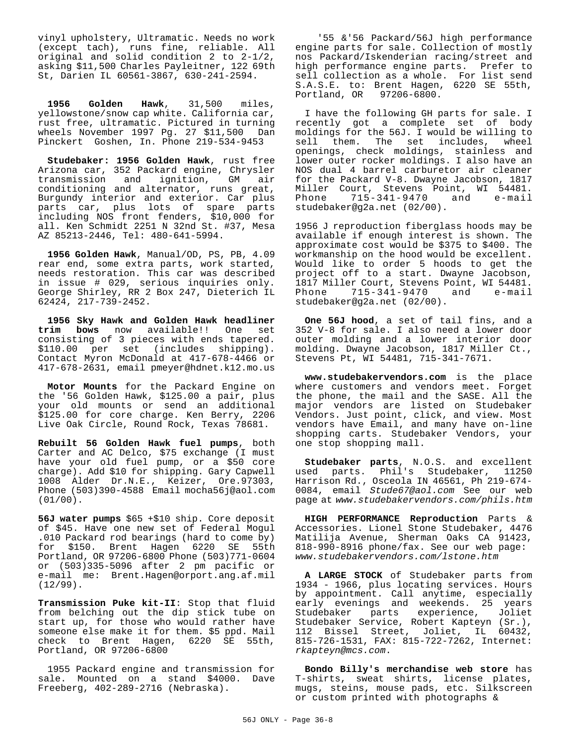vinyl upholstery, Ultramatic. Needs no work (except tach), runs fine, reliable. All original and solid condition 2 to 2-1/2, asking \$11,500 Charles Payleitner, 122 69th St, Darien IL 60561-3867, 630-241-2594.

**1956 Golden Hawk**, 31,500 miles, yellowstone/snow cap white. California car, rust free, ultramatic. Pictured in turning wheels November 1997 Pg. 27 \$11,500 Dan Pinckert Goshen, In. Phone 219-534-9453

**Studebaker: 1956 Golden Hawk**, rust free Arizona car, 352 Packard engine, Chrysler<br>transmission and ignition, GM air transmission and conditioning and alternator, runs great, Burgundy interior and exterior. Car plus parts car, plus lots of spare parts including NOS front fenders, \$10,000 for all. Ken Schmidt 2251 N 32nd St. #37, Mesa AZ 85213-2446, Tel: 480-641-5994.

**1956 Golden Hawk**, Manual/OD, PS, PB, 4.09 rear end, some extra parts, work started, needs restoration. This car was described in issue # 029, serious inquiries only. George Shirley, RR 2 Box 247, Dieterich IL 62424, 217-739-2452.

**1956 Sky Hawk and Golden Hawk headliner trim bows** now available!! consisting of 3 pieces with ends tapered. \$110.00 per set (includes shipping). Contact Myron McDonald at 417-678-4466 or 417-678-2631, email pmeyer@hdnet.k12.mo.us

**Motor Mounts** for the Packard Engine on the '56 Golden Hawk, \$125.00 a pair, plus your old mounts or send an additional \$125.00 for core charge. Ken Berry, 2206 Live Oak Circle, Round Rock, Texas 78681.

**Rebuilt 56 Golden Hawk fuel pumps**, both Carter and AC Delco, \$75 exchange (I must have your old fuel pump, or a \$50 core charge). Add \$10 for shipping. Gary Capwell 1008 Alder Dr.N.E., Keizer, Ore.97303, Phone (503)390-4588 Email mocha56j@aol.com (01/00).

**56J water pumps** \$65 +\$10 ship. Core deposit of \$45. Have one new set of Federal Mogul .010 Packard rod bearings (hard to come by) for \$150. Brent Hagen 6220 SE 55th Portland, OR 97206-6800 Phone (503)771-0604 or (503)335-5096 after 2 pm pacific or e-mail me: Brent.Hagen@orport.ang.af.mil (12/99).

**Transmission Puke kit-II**: Stop that fluid from belching out the dip stick tube on start up, for those who would rather have someone else make it for them. \$5 ppd. Mail check to Brent Hagen, 6220 SE 55th, Portland, OR 97206-6800

1955 Packard engine and transmission for sale. Mounted on a stand \$4000. Dave Freeberg, 402-289-2716 (Nebraska).

 '55 &'56 Packard/56J high performance engine parts for sale. Collection of mostly nos Packard/Iskenderian racing/street and high performance engine parts. Prefer to sell collection as a whole. For list send S.A.S.E. to: Brent Hagen, 6220 SE 55th, Portland, OR 97206-6800.

I have the following GH parts for sale. I recently got a complete set of body moldings for the 56J. I would be willing to sell them. The set includes, wheel openings, check moldings, stainless and lower outer rocker moldings. I also have an NOS dual 4 barrel carburetor air cleaner for the Packard V-8. Dwayne Jacobson, 1817 Miller Court, Stevens Point, WI 54481. Phone 715-341-9470 and e-mail studebaker@g2a.net (02/00).

1956 J reproduction fiberglass hoods may be available if enough interest is shown. The approximate cost would be \$375 to \$400. The workmanship on the hood would be excellent. Would like to order 5 hoods to get the project off to a start. Dwayne Jacobson, 1817 Miller Court, Stevens Point, WI 54481. Phone 715-341-9470 and e-mail studebaker@g2a.net (02/00).

**One 56J hood**, a set of tail fins, and a 352 V-8 for sale. I also need a lower door outer molding and a lower interior door molding. Dwayne Jacobson, 1817 Miller Ct., Stevens Pt, WI 54481, 715-341-7671.

**www.studebakervendors.com** is the place where customers and vendors meet. Forget the phone, the mail and the SASE. All the major vendors are listed on Studebaker Vendors. Just point, click, and view. Most vendors have Email, and many have on-line shopping carts. Studebaker Vendors, your one stop shopping mall.

**Studebaker parts**, N.O.S. and excellent used parts. Phil's Studebaker, 11250 Harrison Rd., Osceola IN 46561, Ph 219-674- 0084, email *Stude67@aol.com* See our web page at *www.studebakervendors.com/phils.htm*

**HIGH PERFORMANCE Reproduction** Parts & Accessories. Lionel Stone Studebaker, 4476 Matilija Avenue, Sherman Oaks CA 91423, 818-990-8916 phone/fax. See our web page: *www.studebakervendors.com/lstone.htm*

**A LARGE STOCK** of Studebaker parts from 1934 - 1966, plus locating services. Hours by appointment. Call anytime, especially early evenings and weekends. 25 years Studebaker parts experience, Joliet Studebaker Service, Robert Kapteyn (Sr.), 112 Bissel Street, Joliet, IL 60432, 815-726-1531, FAX: 815-722-7262, Internet: *rkapteyn@mcs.com*.

**Bondo Billy's merchandise web store** has T-shirts, sweat shirts, license plates, mugs, steins, mouse pads, etc. Silkscreen or custom printed with photographs &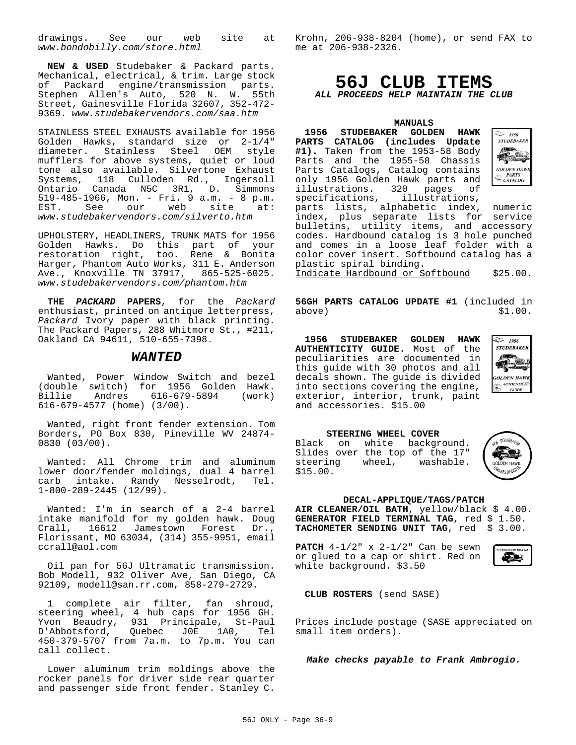drawings. See our web site at *www.bondobilly.com/store.html*

**NEW & USED** Studebaker & Packard parts. Mechanical, electrical, & trim. Large stock of Packard engine/transmission parts. Stephen Allen's Auto, 520 N. W. 55th Street, Gainesville Florida 32607, 352-472- 9369. *www.studebakervendors.com/saa.htm*

STAINLESS STEEL EXHAUSTS available for 1956 Golden Hawks, standard size or 2-1/4" diameter. Stainless Steel OEM style mufflers for above systems, quiet or loud tone also available. Silvertone Exhaust Systems, 118 Culloden Rd., Ingersoll Ontario Canada N5C 3R1, D. Simmons 519-485-1966, Mon. - Fri. 9 a.m. - 8 p.m. EST. See our web site at: *www.studebakervendors.com/silverto.htm*

UPHOLSTERY, HEADLINERS, TRUNK MATS for 1956 Golden Hawks. Do this part of your restoration right, too. Rene & Bonita Harger, Phantom Auto Works, 311 E. Anderson Ave., Knoxville TN 37917, 865-525-6025. *www.studebakervendors.com/phantom.htm*

**THE** *PACKARD* **PAPERS**, for the *Packard* enthusiast, printed on antique letterpress, *Packard* Ivory paper with black printing. The Packard Papers, 288 Whitmore St., #211, Oakland CA 94611, 510-655-7398.

# *WANTED*

Wanted, Power Window Switch and bezel (double switch) for 1956 Golden Hawk. Billie Andres 616-679-5894 (work) 616-679-4577 (home) (3/00).

Wanted, right front fender extension. Tom Borders, PO Box 830, Pineville WV 24874- 0830 (03/00).

Wanted: All Chrome trim and aluminum lower door/fender moldings, dual 4 barrel carb intake. Randy Nesselrodt, 1-800-289-2445 (12/99).

Wanted: I'm in search of a 2-4 barrel intake manifold for my golden hawk. Doug Crall, 16612 Jamestown Forest Dr., Florissant, MO 63034, (314) 355-9951, email ccrall@aol.com

Oil pan for 56J Ultramatic transmission. Bob Modell, 932 Oliver Ave, San Diego, CA 92109, modell@san.rr.com, 858-279-2729.

1 complete air filter, fan shroud, steering wheel, 4 hub caps for 1956 GH. Yvon Beaudry, 931 Principale, St-Paul D'Abbotsford, Quebec J0E 1A0, Tel 450-379-5707 from 7a.m. to 7p.m. You can call collect.

Lower aluminum trim moldings above the rocker panels for driver side rear quarter and passenger side front fender. Stanley C.

Krohn, 206-938-8204 (home), or send FAX to me at 206-938-2326.

# **56J CLUB ITEMS** *ALL PROCEEDS HELP MAINTAIN THE CLUB*

# **MANITALS**

**1956 STUDEBAKER GOLDEN HAWK PARTS CATALOG (includes Update #1).** Taken from the 1953-58 Body Parts and the 1955-58 Chassis Parts Catalogs, Catalog contains only 1956 Golden Hawk parts and illustrations. 320 pages of specifications, illustrations,



parts lists, alphabetic index, numeric index, plus separate lists for service bulletins, utility items, and accessory codes. Hardbound catalog is 3 hole punched and comes in a loose leaf folder with a color cover insert. Softbound catalog has a plastic spiral binding. Indicate Hardbound or Softbound \$25.00.

**56GH PARTS CATALOG UPDATE #1** (included in above)  $$1,00$ above)

**1956 STUDEBAKER GOLDEN HAWK AUTHENTICITY GUIDE.** Most of the peculiarities are documented in this guide with 30 photos and all decals shown. The guide is divided into sections covering the engine, exterior, interior, trunk, paint and accessories. \$15.00



**STEERING WHEEL COVER** Black on white background. Slides over the top of the 17"<br>steering wheel, washable. wheel, washable. \$15.00.



### **DECAL-APPLIQUE/TAGS/PATCH**

**AIR CLEANER/OIL BATH**, yellow/black \$ 4.00. GENERATOR FIELD TERMINAL TAG, red \$ 1.50. **TACHOMETER SENDING UNIT TAG**, red \$ 3.00.

**PATCH** 4-1/2" x 2-1/2" Can be sewn or glued to a cap or shirt. Red on white background. \$3.50



**CLUB ROSTERS** (send SASE)

Prices include postage (SASE appreciated on small item orders).

*Make checks payable to Frank Ambrogio.*